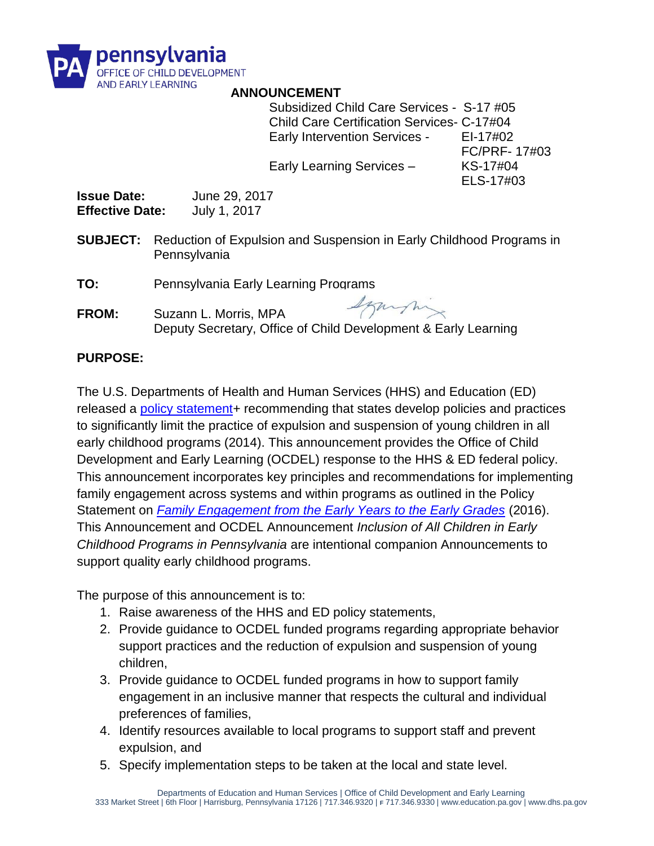

#### **ANNOUNCEMENT**

Subsidized Child Care Services - S-17 #05 Child Care Certification Services- C-17#04 Early Intervention Services - EI-17#02

Early Learning Services – KS-17#04

FC/PRF- 17#03 ELS-17#03

**Issue Date:** June 29, 2017 **Effective Date:** July 1, 2017

- **SUBJECT:** Reduction of Expulsion and Suspension in Early Childhood Programs in Pennsylvania
- **TO:** Pennsylvania Early Learning Programs
- Szamshing **FROM:** Suzann L. Morris, MPA Deputy Secretary, Office of Child Development & Early Learning

#### **PURPOSE:**

The U.S. Departments of Health and Human Services (HHS) and Education (ED) released a [policy statement+](https://www2.ed.gov/policy/gen/guid/school-discipline/policy-statement-ece-expulsions-suspensions.pdf) recommending that states develop policies and practices to significantly limit the practice of expulsion and suspension of young children in all early childhood programs (2014). This announcement provides the Office of Child Development and Early Learning (OCDEL) response to the HHS & ED federal policy. This announcement incorporates key principles and recommendations for implementing family engagement across systems and within programs as outlined in the Policy Statement on *[Family Engagement from the Early Years to the Early Grades](https://www2.ed.gov/about/inits/ed/earlylearning/files/policy-statement-on-family-engagement.pdf)* (2016). This Announcement and OCDEL Announcement *Inclusion of All Children in Early Childhood Programs in Pennsylvania* are intentional companion Announcements to support quality early childhood programs.

The purpose of this announcement is to:

- 1. Raise awareness of the HHS and ED policy statements,
- 2. Provide guidance to OCDEL funded programs regarding appropriate behavior support practices and the reduction of expulsion and suspension of young children,
- 3. Provide guidance to OCDEL funded programs in how to support family engagement in an inclusive manner that respects the cultural and individual preferences of families,
- 4. Identify resources available to local programs to support staff and prevent expulsion, and
- 5. Specify implementation steps to be taken at the local and state level.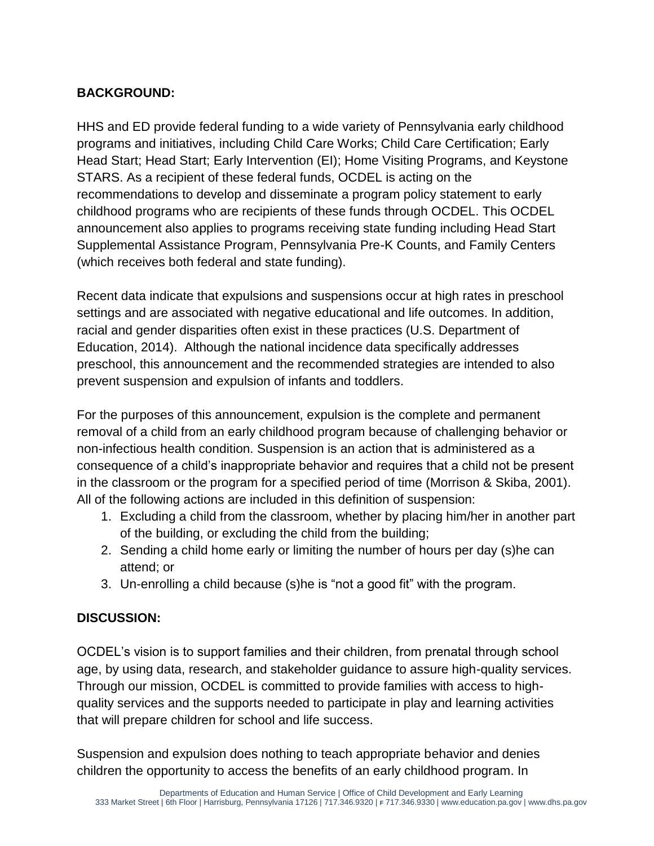# **BACKGROUND:**

HHS and ED provide federal funding to a wide variety of Pennsylvania early childhood programs and initiatives, including Child Care Works; Child Care Certification; Early Head Start; Head Start; Early Intervention (EI); Home Visiting Programs, and Keystone STARS. As a recipient of these federal funds, OCDEL is acting on the recommendations to develop and disseminate a program policy statement to early childhood programs who are recipients of these funds through OCDEL. This OCDEL announcement also applies to programs receiving state funding including Head Start Supplemental Assistance Program, Pennsylvania Pre-K Counts, and Family Centers (which receives both federal and state funding).

Recent data indicate that expulsions and suspensions occur at high rates in preschool settings and are associated with negative educational and life outcomes. In addition, racial and gender disparities often exist in these practices (U.S. Department of Education, 2014). Although the national incidence data specifically addresses preschool, this announcement and the recommended strategies are intended to also prevent suspension and expulsion of infants and toddlers.

For the purposes of this announcement, expulsion is the complete and permanent removal of a child from an early childhood program because of challenging behavior or non-infectious health condition. Suspension is an action that is administered as a consequence of a child's inappropriate behavior and requires that a child not be present in the classroom or the program for a specified period of time (Morrison & Skiba, 2001). All of the following actions are included in this definition of suspension:

- 1. Excluding a child from the classroom, whether by placing him/her in another part of the building, or excluding the child from the building;
- 2. Sending a child home early or limiting the number of hours per day (s)he can attend; or
- 3. Un-enrolling a child because (s)he is "not a good fit" with the program.

## **DISCUSSION:**

OCDEL's vision is to support families and their children, from prenatal through school age, by using data, research, and stakeholder guidance to assure high-quality services. Through our mission, OCDEL is committed to provide families with access to highquality services and the supports needed to participate in play and learning activities that will prepare children for school and life success.

Suspension and expulsion does nothing to teach appropriate behavior and denies children the opportunity to access the benefits of an early childhood program. In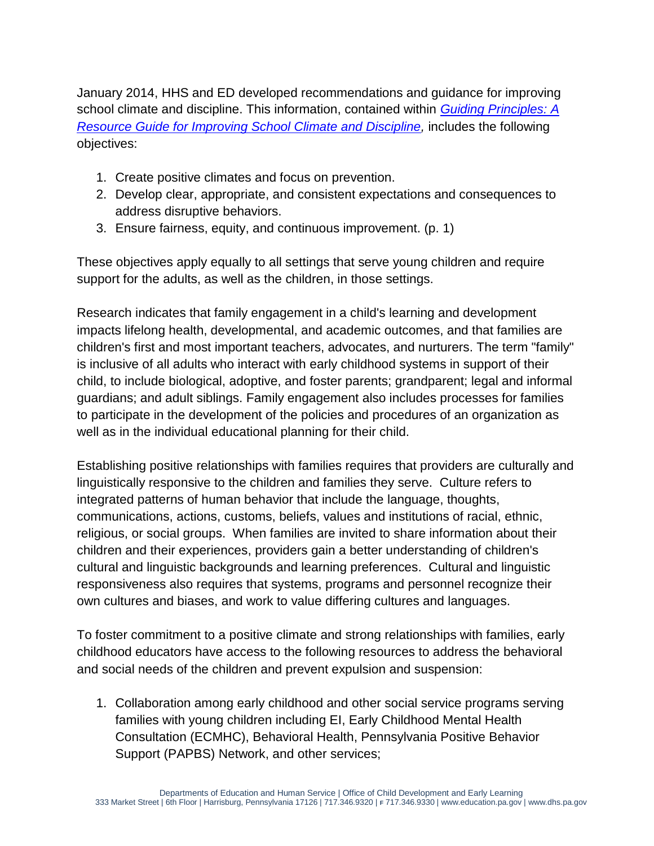January 2014, HHS and ED developed recommendations and guidance for improving school climate and discipline. This information, contained within *[Guiding Principles: A](https://www2.ed.gov/policy/gen/guid/school-discipline/guiding-principles.pdf)  [Resource Guide for Improving School Climate and Discipline,](https://www2.ed.gov/policy/gen/guid/school-discipline/guiding-principles.pdf)* includes the following objectives:

- 1. Create positive climates and focus on prevention.
- 2. Develop clear, appropriate, and consistent expectations and consequences to address disruptive behaviors.
- 3. Ensure fairness, equity, and continuous improvement. (p. 1)

These objectives apply equally to all settings that serve young children and require support for the adults, as well as the children, in those settings.

Research indicates that family engagement in a child's learning and development impacts lifelong health, developmental, and academic outcomes, and that families are children's first and most important teachers, advocates, and nurturers. The term "family" is inclusive of all adults who interact with early childhood systems in support of their child, to include biological, adoptive, and foster parents; grandparent; legal and informal guardians; and adult siblings. Family engagement also includes processes for families to participate in the development of the policies and procedures of an organization as well as in the individual educational planning for their child.

Establishing positive relationships with families requires that providers are culturally and linguistically responsive to the children and families they serve. Culture refers to integrated patterns of human behavior that include the language, thoughts, communications, actions, customs, beliefs, values and institutions of racial, ethnic, religious, or social groups. When families are invited to share information about their children and their experiences, providers gain a better understanding of children's cultural and linguistic backgrounds and learning preferences. Cultural and linguistic responsiveness also requires that systems, programs and personnel recognize their own cultures and biases, and work to value differing cultures and languages.

To foster commitment to a positive climate and strong relationships with families, early childhood educators have access to the following resources to address the behavioral and social needs of the children and prevent expulsion and suspension:

1. Collaboration among early childhood and other social service programs serving families with young children including EI, Early Childhood Mental Health Consultation (ECMHC), Behavioral Health, Pennsylvania Positive Behavior Support (PAPBS) Network, and other services;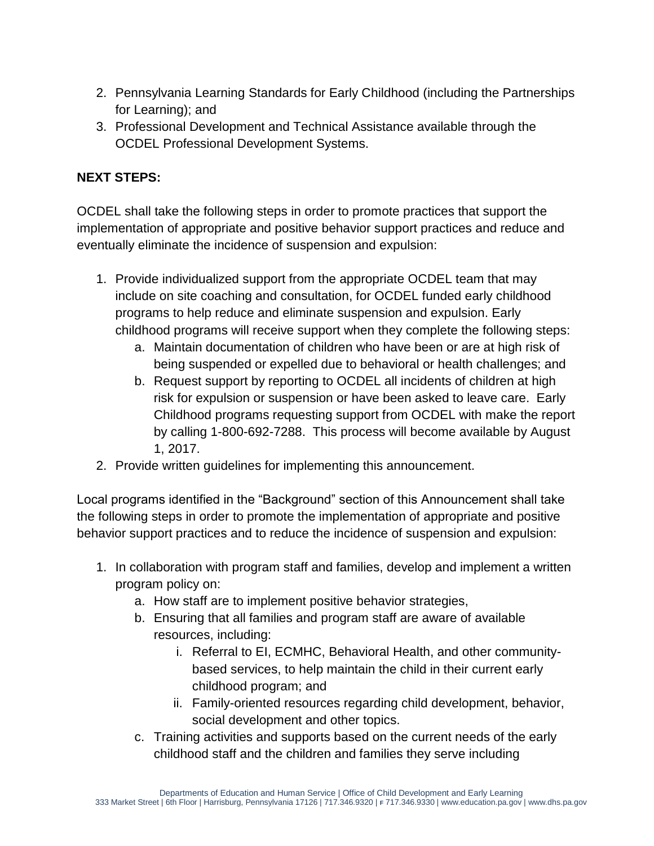- 2. Pennsylvania Learning Standards for Early Childhood (including the Partnerships for Learning); and
- 3. Professional Development and Technical Assistance available through the OCDEL Professional Development Systems.

## **NEXT STEPS:**

OCDEL shall take the following steps in order to promote practices that support the implementation of appropriate and positive behavior support practices and reduce and eventually eliminate the incidence of suspension and expulsion:

- 1. Provide individualized support from the appropriate OCDEL team that may include on site coaching and consultation, for OCDEL funded early childhood programs to help reduce and eliminate suspension and expulsion. Early childhood programs will receive support when they complete the following steps:
	- a. Maintain documentation of children who have been or are at high risk of being suspended or expelled due to behavioral or health challenges; and
	- b. Request support by reporting to OCDEL all incidents of children at high risk for expulsion or suspension or have been asked to leave care. Early Childhood programs requesting support from OCDEL with make the report by calling 1-800-692-7288. This process will become available by August 1, 2017.
- 2. Provide written guidelines for implementing this announcement.

Local programs identified in the "Background" section of this Announcement shall take the following steps in order to promote the implementation of appropriate and positive behavior support practices and to reduce the incidence of suspension and expulsion:

- 1. In collaboration with program staff and families, develop and implement a written program policy on:
	- a. How staff are to implement positive behavior strategies,
	- b. Ensuring that all families and program staff are aware of available resources, including:
		- i. Referral to EI, ECMHC, Behavioral Health, and other communitybased services, to help maintain the child in their current early childhood program; and
		- ii. Family-oriented resources regarding child development, behavior, social development and other topics.
	- c. Training activities and supports based on the current needs of the early childhood staff and the children and families they serve including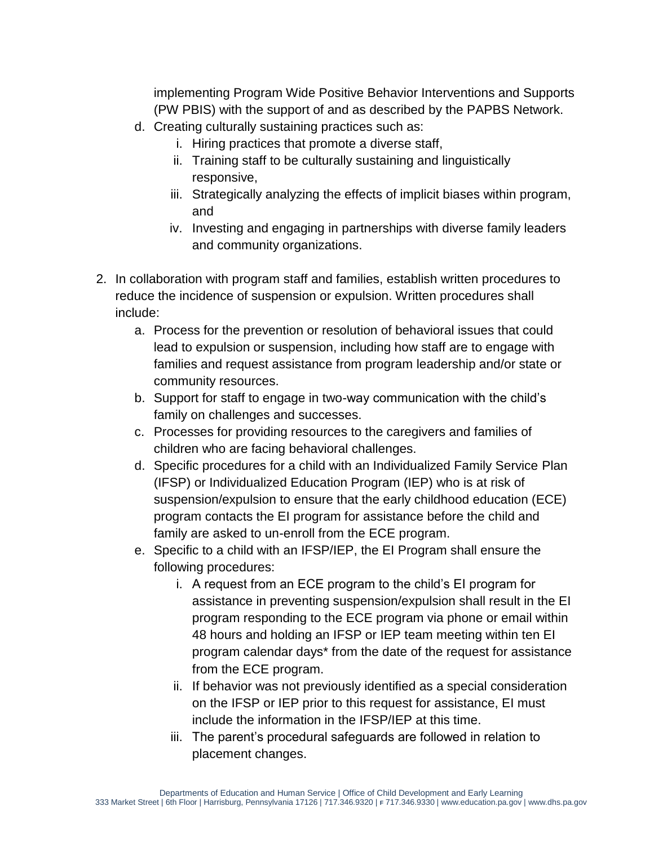implementing Program Wide Positive Behavior Interventions and Supports (PW PBIS) with the support of and as described by the PAPBS Network.

- d. Creating culturally sustaining practices such as:
	- i. Hiring practices that promote a diverse staff,
	- ii. Training staff to be culturally sustaining and linguistically responsive,
	- iii. Strategically analyzing the effects of implicit biases within program, and
	- iv. Investing and engaging in partnerships with diverse family leaders and community organizations.
- 2. In collaboration with program staff and families, establish written procedures to reduce the incidence of suspension or expulsion. Written procedures shall include:
	- a. Process for the prevention or resolution of behavioral issues that could lead to expulsion or suspension, including how staff are to engage with families and request assistance from program leadership and/or state or community resources.
	- b. Support for staff to engage in two-way communication with the child's family on challenges and successes.
	- c. Processes for providing resources to the caregivers and families of children who are facing behavioral challenges.
	- d. Specific procedures for a child with an Individualized Family Service Plan (IFSP) or Individualized Education Program (IEP) who is at risk of suspension/expulsion to ensure that the early childhood education (ECE) program contacts the EI program for assistance before the child and family are asked to un-enroll from the ECE program.
	- e. Specific to a child with an IFSP/IEP, the EI Program shall ensure the following procedures:
		- i. A request from an ECE program to the child's EI program for assistance in preventing suspension/expulsion shall result in the EI program responding to the ECE program via phone or email within 48 hours and holding an IFSP or IEP team meeting within ten EI program calendar days\* from the date of the request for assistance from the ECE program.
		- ii. If behavior was not previously identified as a special consideration on the IFSP or IEP prior to this request for assistance, EI must include the information in the IFSP/IEP at this time.
		- iii. The parent's procedural safeguards are followed in relation to placement changes.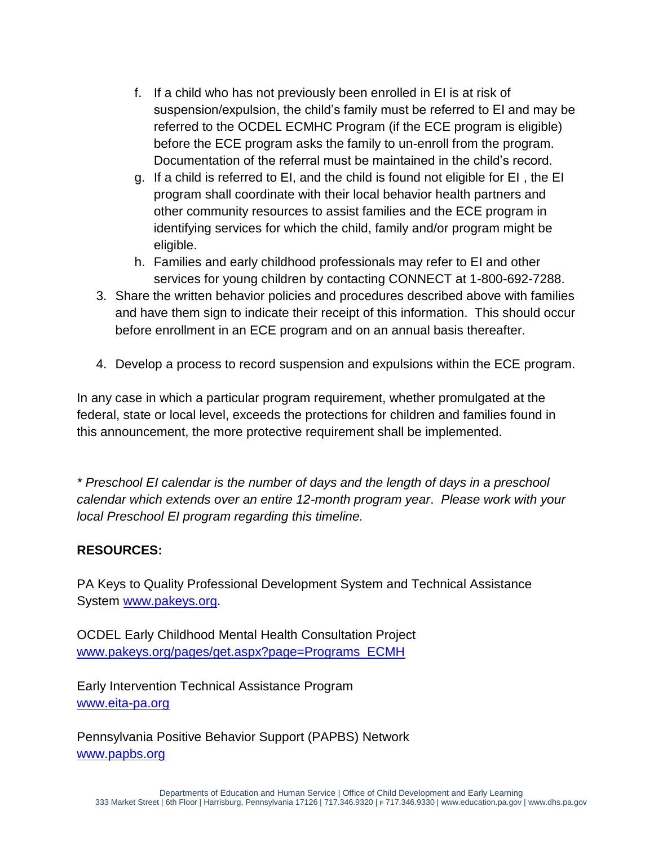- f. If a child who has not previously been enrolled in EI is at risk of suspension/expulsion, the child's family must be referred to EI and may be referred to the OCDEL ECMHC Program (if the ECE program is eligible) before the ECE program asks the family to un-enroll from the program. Documentation of the referral must be maintained in the child's record.
- g. If a child is referred to EI, and the child is found not eligible for EI , the EI program shall coordinate with their local behavior health partners and other community resources to assist families and the ECE program in identifying services for which the child, family and/or program might be eligible.
- h. Families and early childhood professionals may refer to EI and other services for young children by contacting CONNECT at 1-800-692-7288.
- 3. Share the written behavior policies and procedures described above with families and have them sign to indicate their receipt of this information. This should occur before enrollment in an ECE program and on an annual basis thereafter.
- 4. Develop a process to record suspension and expulsions within the ECE program.

In any case in which a particular program requirement, whether promulgated at the federal, state or local level, exceeds the protections for children and families found in this announcement, the more protective requirement shall be implemented.

*\* Preschool EI calendar is the number of days and the length of days in a preschool calendar which extends over an entire 12-month program year*. *Please work with your local Preschool EI program regarding this timeline.* 

#### **RESOURCES:**

PA Keys to Quality Professional Development System and Technical Assistance System [www.pakeys.org.](file:///C:/Users/marhal/AppData/Local/Microsoft/Windows/INetCache/Content.Outlook/H49D9SRA/www.pakeys.org)

OCDEL Early Childhood Mental Health Consultation Project [www.pakeys.org/pages/get.aspx?page=Programs\\_ECMH](http://www.pakeys.org/pages/get.aspx?page=Programs_ECMH)

Early Intervention Technical Assistance Program [www.eita-pa.org](file:///C:/Users/marhal/AppData/Local/Microsoft/Windows/INetCache/Content.Outlook/H49D9SRA/www.eita-pa.org)

Pennsylvania Positive Behavior Support (PAPBS) Network [www.papbs.org](http://www.papbs.org/)